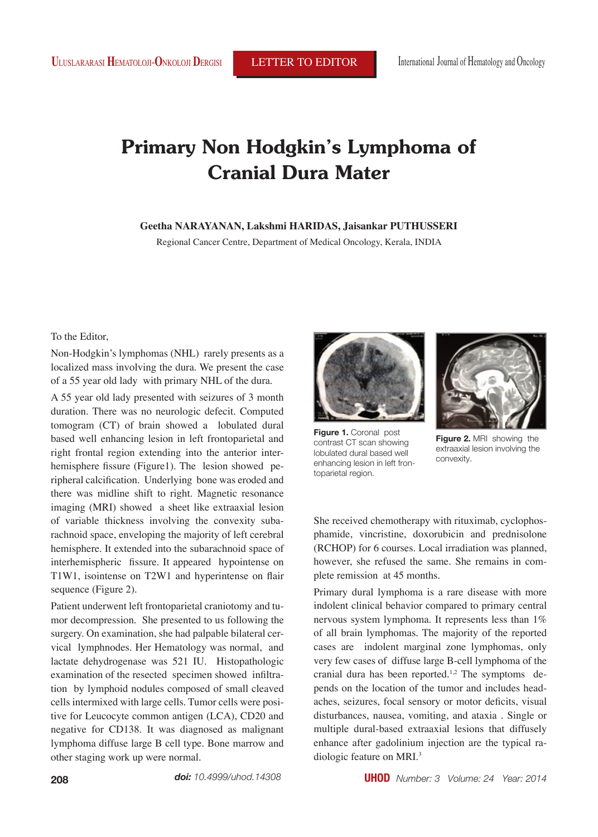# **Primary Non Hodgkin's Lymphoma of Cranial Dura Mater**

## **Geetha NARAYANAN, Lakshmi HARIDAS, Jaisankar PUTHUSSERI**

Regional Cancer Centre, Department of Medical Oncology, Kerala, INDIA

To the Editor,

Non-Hodgkin's lymphomas (NHL) rarely presents as a localized mass involving the dura. We present the case of a 55 year old lady with primary NHL of the dura.

A 55 year old lady presented with seizures of 3 month duration. There was no neurologic defecit. Computed tomogram (CT) of brain showed a lobulated dural based well enhancing lesion in left frontoparietal and right frontal region extending into the anterior interhemisphere fissure (Figure1). The lesion showed peripheral calcification. Underlying bone was eroded and there was midline shift to right. Magnetic resonance imaging (MRI) showed a sheet like extraaxial lesion of variable thickness involving the convexity subarachnoid space, enveloping the majority of left cerebral hemisphere. It extended into the subarachnoid space of interhemispheric fissure. It appeared hypointense on T1W1, isointense on T2W1 and hyperintense on flair sequence (Figure 2).

Patient underwent left frontoparietal craniotomy and tumor decompression. She presented to us following the surgery. On examination, she had palpable bilateral cervical lymphnodes. Her Hematology was normal, and lactate dehydrogenase was 521 IU. Histopathologic examination of the resected specimen showed infiltration by lymphoid nodules composed of small cleaved cells intermixed with large cells. Tumor cells were positive for Leucocyte common antigen (LCA), CD20 and negative for CD138. It was diagnosed as malignant lymphoma diffuse large B cell type. Bone marrow and other staging work up were normal.



**Figure 1.** Coronal post contrast CT scan showing lobulated dural based well enhancing lesion in left frontoparietal region.



**Figure 2.** MRI showing the extraaxial lesion involving the convexity.

She received chemotherapy with rituximab, cyclophosphamide, vincristine, doxorubicin and prednisolone (RCHOP) for 6 courses. Local irradiation was planned, however, she refused the same. She remains in complete remission at 45 months.

Primary dural lymphoma is a rare disease with more indolent clinical behavior compared to primary central nervous system lymphoma. It represents less than 1% of all brain lymphomas. The majority of the reported cases are indolent marginal zone lymphomas, only very few cases of diffuse large B-cell lymphoma of the cranial dura has been reported.<sup>1,2</sup> The symptoms depends on the location of the tumor and includes headaches, seizures, focal sensory or motor deficits, visual disturbances, nausea, vomiting, and ataxia . Single or multiple dural-based extraaxial lesions that diffusely enhance after gadolinium injection are the typical radiologic feature on MRI.3